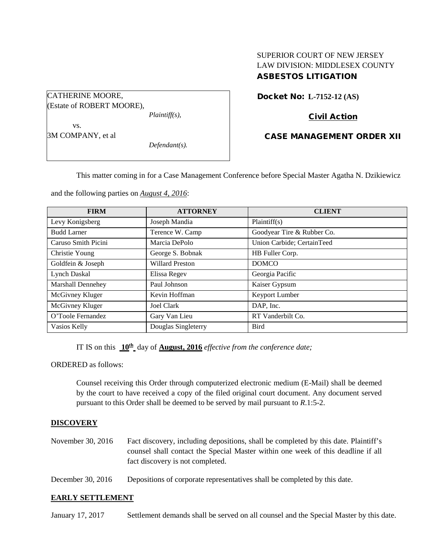# SUPERIOR COURT OF NEW JERSEY LAW DIVISION: MIDDLESEX COUNTY ASBESTOS LITIGATION

Docket No: **L-7152-12 (AS)** 

# Civil Action

### CASE MANAGEMENT ORDER XII

This matter coming in for a Case Management Conference before Special Master Agatha N. Dzikiewicz

and the following parties on *August 4, 2016*:

*Plaintiff(s),*

*Defendant(s).*

CATHERINE MOORE,

vs. 3M COMPANY, et al

(Estate of ROBERT MOORE),

| <b>FIRM</b>         | <b>ATTORNEY</b>        | <b>CLIENT</b>              |  |
|---------------------|------------------------|----------------------------|--|
| Levy Konigsberg     | Joseph Mandia          | Plaintiff(s)               |  |
| <b>Budd Larner</b>  | Terence W. Camp        | Goodyear Tire & Rubber Co. |  |
| Caruso Smith Picini | Marcia DePolo          | Union Carbide; CertainTeed |  |
| Christie Young      | George S. Bobnak       | HB Fuller Corp.            |  |
| Goldfein & Joseph   | <b>Willard Preston</b> | <b>DOMCO</b>               |  |
| <b>Lynch Daskal</b> | Elissa Regev           | Georgia Pacific            |  |
| Marshall Dennehey   | Paul Johnson           | Kaiser Gypsum              |  |
| McGivney Kluger     | Kevin Hoffman          | Keyport Lumber             |  |
| McGivney Kluger     | Joel Clark             | DAP, Inc.                  |  |
| O'Toole Fernandez   | Gary Van Lieu          | RT Vanderbilt Co.          |  |
| Vasios Kelly        | Douglas Singleterry    | <b>Bird</b>                |  |

IT IS on this **10th** day of **August, 2016** *effective from the conference date;*

ORDERED as follows:

Counsel receiving this Order through computerized electronic medium (E-Mail) shall be deemed by the court to have received a copy of the filed original court document. Any document served pursuant to this Order shall be deemed to be served by mail pursuant to *R*.1:5-2.

## **DISCOVERY**

- November 30, 2016 Fact discovery, including depositions, shall be completed by this date. Plaintiff's counsel shall contact the Special Master within one week of this deadline if all fact discovery is not completed.
- December 30, 2016 Depositions of corporate representatives shall be completed by this date.

### **EARLY SETTLEMENT**

January 17, 2017 Settlement demands shall be served on all counsel and the Special Master by this date.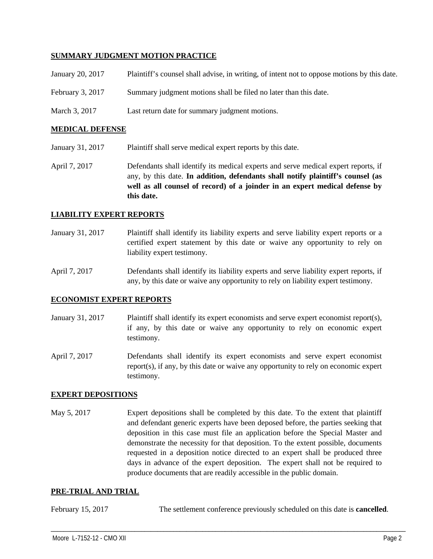### **SUMMARY JUDGMENT MOTION PRACTICE**

| January 20, 2017   | Plaintiff's counsel shall advise, in writing, of intent not to oppose motions by this date. |
|--------------------|---------------------------------------------------------------------------------------------|
| February $3, 2017$ | Summary judgment motions shall be filed no later than this date.                            |
| March 3, 2017      | Last return date for summary judgment motions.                                              |

#### **MEDICAL DEFENSE**

- January 31, 2017 Plaintiff shall serve medical expert reports by this date.
- April 7, 2017 Defendants shall identify its medical experts and serve medical expert reports, if any, by this date. **In addition, defendants shall notify plaintiff's counsel (as well as all counsel of record) of a joinder in an expert medical defense by this date.**

#### **LIABILITY EXPERT REPORTS**

January 31, 2017 Plaintiff shall identify its liability experts and serve liability expert reports or a certified expert statement by this date or waive any opportunity to rely on liability expert testimony.

April 7, 2017 Defendants shall identify its liability experts and serve liability expert reports, if any, by this date or waive any opportunity to rely on liability expert testimony.

#### **ECONOMIST EXPERT REPORTS**

- January 31, 2017 Plaintiff shall identify its expert economists and serve expert economist report(s), if any, by this date or waive any opportunity to rely on economic expert testimony.
- April 7, 2017 Defendants shall identify its expert economists and serve expert economist report(s), if any, by this date or waive any opportunity to rely on economic expert testimony.

### **EXPERT DEPOSITIONS**

May 5, 2017 Expert depositions shall be completed by this date. To the extent that plaintiff and defendant generic experts have been deposed before, the parties seeking that deposition in this case must file an application before the Special Master and demonstrate the necessity for that deposition. To the extent possible, documents requested in a deposition notice directed to an expert shall be produced three days in advance of the expert deposition. The expert shall not be required to produce documents that are readily accessible in the public domain.

### **PRE-TRIAL AND TRIAL**

| February 15, 2017 |  |  | The settlement conference previously scheduled on this date is <b>cancelled</b> . |
|-------------------|--|--|-----------------------------------------------------------------------------------|
|-------------------|--|--|-----------------------------------------------------------------------------------|

\_\_\_\_\_\_\_\_\_\_\_\_\_\_\_\_\_\_\_\_\_\_\_\_\_\_\_\_\_\_\_\_\_\_\_\_\_\_\_\_\_\_\_\_\_\_\_\_\_\_\_\_\_\_\_\_\_\_\_\_\_\_\_\_\_\_\_\_\_\_\_\_\_\_\_\_\_\_\_\_\_\_\_\_\_\_\_\_\_\_\_\_\_\_\_\_\_\_\_\_\_\_\_\_\_\_\_\_\_\_